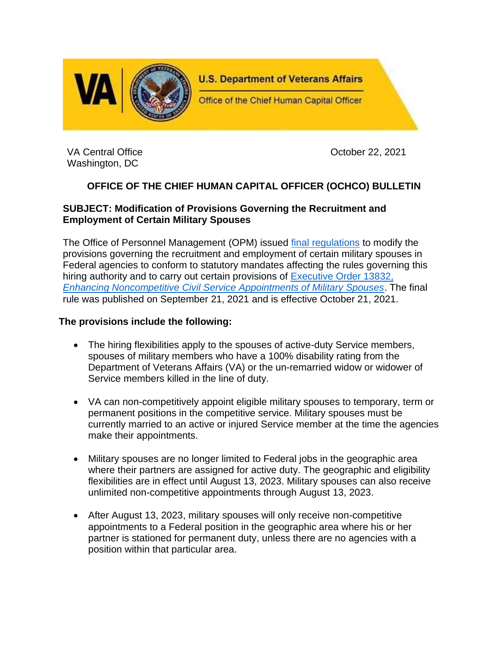

VA Central Office **October 22, 2021** Washington, DC

# **OFFICE OF THE CHIEF HUMAN CAPITAL OFFICER (OCHCO) BULLETIN**

### **SUBJECT: Modification of Provisions Governing the Recruitment and Employment of Certain Military Spouses**

The Office of Personnel Management (OPM) issued [final regulations](https://www.federalregister.gov/documents/2021/09/21/2021-20308/noncompetitive-appointment-of-certain-military-spouses) to modify the provisions governing the recruitment and employment of certain military spouses in Federal agencies to conform to statutory mandates affecting the rules governing this hiring authority and to carry out certain provisions of [Executive Order 13832,](https://www.govinfo.gov/content/pkg/FR-2018-05-14/pdf/2018-10403.pdf)  *[Enhancing Noncompetitive Civil Service Appointments of Military Spouses](https://www.govinfo.gov/content/pkg/FR-2018-05-14/pdf/2018-10403.pdf)*. The final rule was published on September 21, 2021 and is effective October 21, 2021.

#### **The provisions include the following:**

- The hiring flexibilities apply to the spouses of active-duty Service members, spouses of military members who have a 100% disability rating from the Department of Veterans Affairs (VA) or the un-remarried widow or widower of Service members killed in the line of duty.
- VA can non-competitively appoint eligible military spouses to temporary, term or permanent positions in the competitive service. Military spouses must be currently married to an active or injured Service member at the time the agencies make their appointments.
- Military spouses are no longer limited to Federal jobs in the geographic area where their partners are assigned for active duty. The geographic and eligibility flexibilities are in effect until August 13, 2023. Military spouses can also receive unlimited non-competitive appointments through August 13, 2023.
- After August 13, 2023, military spouses will only receive non-competitive appointments to a Federal position in the geographic area where his or her partner is stationed for permanent duty, unless there are no agencies with a position within that particular area.